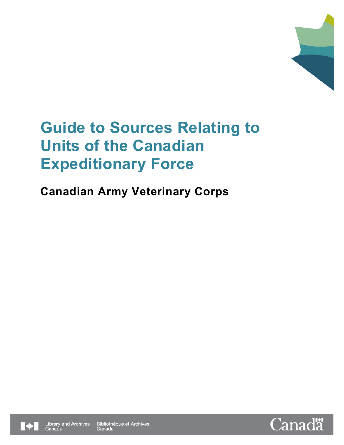

## **Canadian Army Veterinary Corps**



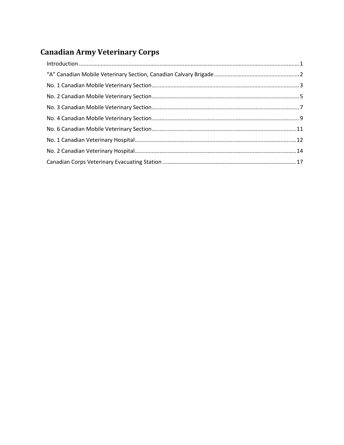## **Canadian Army Veterinary Corps**

| $\label{eq:interoduction} \mbox{Introduction} \,\, \ldots \,\, \ldots \,\, \ldots \,\, \ldots \,\, \ldots \,\, \ldots \,\, \ldots \,\, \ldots \,\, \ldots \,\, \ldots \,\, \ldots \,\, \ldots \,\, \ldots \,\, \ldots \,\, \ldots \,\, \ldots \,\, \ldots \,\, \ldots \,\, \ldots \,\, \ldots \,\, \ldots \,\, \ldots \,\, \ldots \,\, \ldots \,\, \ldots \,\, \ldots \,\, \ldots \,\, \ldots \,\, \ldots \,\, \ldots \,\, \ldots \,\, \ldots \,\, \ldots \,\, \ldots \$ |  |
|--------------------------------------------------------------------------------------------------------------------------------------------------------------------------------------------------------------------------------------------------------------------------------------------------------------------------------------------------------------------------------------------------------------------------------------------------------------------------|--|
|                                                                                                                                                                                                                                                                                                                                                                                                                                                                          |  |
|                                                                                                                                                                                                                                                                                                                                                                                                                                                                          |  |
|                                                                                                                                                                                                                                                                                                                                                                                                                                                                          |  |
|                                                                                                                                                                                                                                                                                                                                                                                                                                                                          |  |
|                                                                                                                                                                                                                                                                                                                                                                                                                                                                          |  |
|                                                                                                                                                                                                                                                                                                                                                                                                                                                                          |  |
|                                                                                                                                                                                                                                                                                                                                                                                                                                                                          |  |
|                                                                                                                                                                                                                                                                                                                                                                                                                                                                          |  |
|                                                                                                                                                                                                                                                                                                                                                                                                                                                                          |  |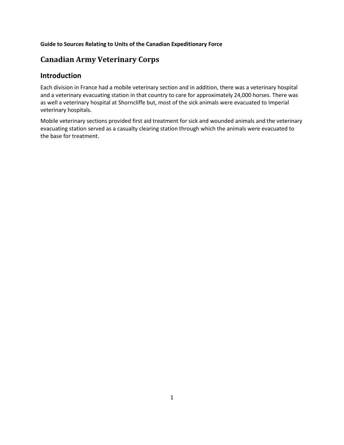## <span id="page-2-0"></span>**Canadian Army Veterinary Corps**

## **Introduction**

Each division in France had a mobile veterinary section and in addition, there was a veterinary hospital and a veterinary evacuating station in that country to care for approximately 24,000 horses. There was as well a veterinary hospital at Shorncliffe but, most of the sick animals were evacuated to Imperial veterinary hospitals.

Mobile veterinary sections provided first aid treatment for sick and wounded animals and the veterinary evacuating station served as a casualty clearing station through which the animals were evacuated to the base for treatment.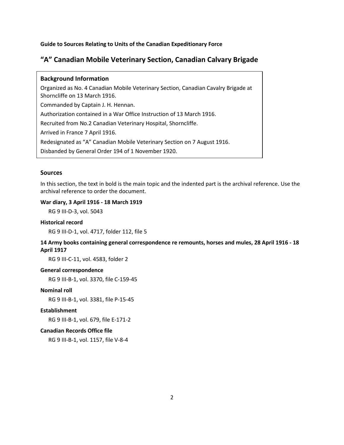## <span id="page-3-0"></span>**"A" Canadian Mobile Veterinary Section, Canadian Calvary Brigade**

#### **Background Information**

Organized as No. 4 Canadian Mobile Veterinary Section, Canadian Cavalry Brigade at Shorncliffe on 13 March 1916.

Commanded by Captain J. H. Hennan.

Authorization contained in a War Office Instruction of 13 March 1916.

Recruited from No.2 Canadian Veterinary Hospital, Shorncliffe.

Arrived in France 7 April 1916.

Redesignated as "A" Canadian Mobile Veterinary Section on 7 August 1916.

Disbanded by General Order 194 of 1 November 1920.

#### **Sources**

In this section, the text in bold is the main topic and the indented part is the archival reference. Use the archival reference to order the document.

#### **War diary, 3 April 1916 - 18 March 1919**

RG 9 III-D-3, vol. 5043

#### **Historical record**

RG 9 III-D-1, vol. 4717, folder 112, file 5

## **14 Army books containing general correspondence re remounts, horses and mules, 28 April 1916 - 18 April 1917**

RG 9 III-C-11, vol. 4583, folder 2

#### **General correspondence**

RG 9 III-B-1, vol. 3370, file C-159-45

#### **Nominal roll**

RG 9 III-B-1, vol. 3381, file P-15-45

#### **Establishment**

RG 9 III-B-1, vol. 679, file E-171-2

#### **Canadian Records Office file**

RG 9 III-B-1, vol. 1157, file V-8-4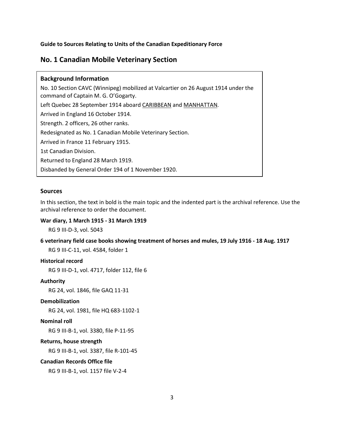## <span id="page-4-0"></span>**No. 1 Canadian Mobile Veterinary Section**

#### **Background Information**

No. 10 Section CAVC (Winnipeg) mobilized at Valcartier on 26 August 1914 under the command of Captain M. G. O'Gogarty. Left Quebec 28 September 1914 aboard CARIBBEAN and MANHATTAN. Arrived in England 16 October 1914. Strength. 2 officers, 26 other ranks. Redesignated as No. 1 Canadian Mobile Veterinary Section. Arrived in France 11 February 1915. 1st Canadian Division. Returned to England 28 March 1919. Disbanded by General Order 194 of 1 November 1920.

#### **Sources**

In this section, the text in bold is the main topic and the indented part is the archival reference. Use the archival reference to order the document.

#### **War diary, 1 March 1915 - 31 March 1919**

RG 9 III-D-3, vol. 5043

#### **6 veterinary field case books showing treatment of horses and mules, 19 July 1916 - 18 Aug. 1917**

RG 9 III-C-11, vol. 4584, folder 1

#### **Historical record**

RG 9 III-D-1, vol. 4717, folder 112, file 6

#### **Authority**

RG 24, vol. 1846, file GAQ 11-31

#### **Demobilization**

RG 24, vol. 1981, file HQ 683-1102-1

#### **Nominal roll**

RG 9 III-B-1, vol. 3380, file P-11-95

#### **Returns, house strength**

RG 9 III-B-1, vol. 3387, file R-101-45

#### **Canadian Records Office file**

RG 9 III-B-1, vol. 1157 file V-2-4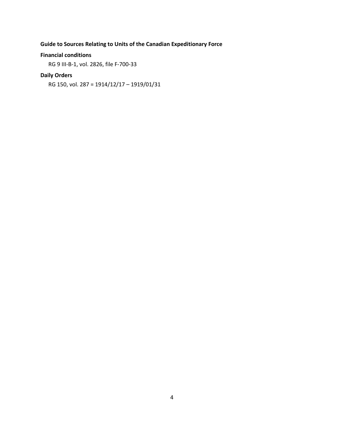#### **Financial conditions**

RG 9 III-B-1, vol. 2826, file F-700-33

## **Daily Orders**

RG 150, vol. 287 = 1914/12/17 – 1919/01/31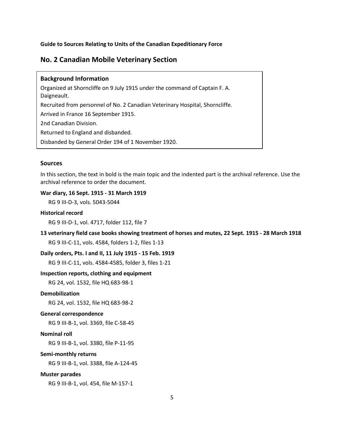## <span id="page-6-0"></span>**No. 2 Canadian Mobile Veterinary Section**

#### **Background Information**

Organized at Shorncliffe on 9 July 1915 under the command of Captain F. A. Daigneault. Recruited from personnel of No. 2 Canadian Veterinary Hospital, Shorncliffe. Arrived in France 16 September 1915. 2nd Canadian Division. Returned to England and disbanded. Disbanded by General Order 194 of 1 November 1920.

#### **Sources**

In this section, the text in bold is the main topic and the indented part is the archival reference. Use the archival reference to order the document.

**War diary, 16 Sept. 1915 - 31 March 1919**

RG 9 III-D-3, vols. 5043-5044

#### **Historical record**

RG 9 III-D-1, vol. 4717, folder 112, file 7

**13 veterinary field case books showing treatment of horses and mutes, 22 Sept. 1915 - 28 March 1918** RG 9 III-C-11, vols. 4584, folders 1-2, files 1-13

**Daily orders, Pts. I and II, 11 July 1915 - 15 Feb. 1919**

RG 9 III-C-11, vols. 4584-4585, folder 3, files 1-21

#### **Inspection reports, clothing and equipment**

RG 24, vol. 1532, file HQ 683-98-1

#### **Demobilization**

RG 24, vol. 1532, file HQ 683-98-2

#### **General correspondence**

RG 9 III-B-1, vol. 3369, file C-58-45

#### **Nominal roll**

RG 9 III-B-1, vol. 3380, file P-11-95

#### **Semi-monthly returns**

RG 9 III-B-1, vol. 3388, file A-124-45

#### **Muster parades**

RG 9 III-B-1, vol. 454, file M-157-1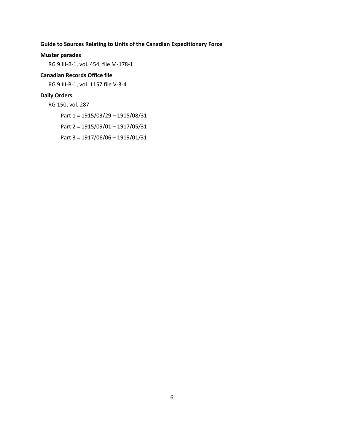#### **Muster parades**

RG 9 III-B-1, vol. 454, file M-178-1

#### **Canadian Records Office file**

RG 9 III-B-1, vol. 1157 file V-3-4

#### **Daily Orders**

RG 150, vol. 287

Part 1 = 1915/03/29 – 1915/08/31

Part 2 = 1915/09/01 – 1917/05/31

Part 3 = 1917/06/06 – 1919/01/31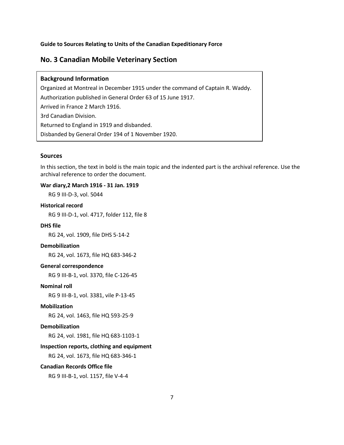## <span id="page-8-0"></span>**No. 3 Canadian Mobile Veterinary Section**

#### **Background Information**

Organized at Montreal in December 1915 under the command of Captain R. Waddy. Authorization published in General Order 63 of 15 June 1917. Arrived in France 2 March 1916. 3rd Canadian Division. Returned to England in 1919 and disbanded. Disbanded by General Order 194 of 1 November 1920.

#### **Sources**

In this section, the text in bold is the main topic and the indented part is the archival reference. Use the archival reference to order the document.

#### **War diary,2 March 1916 - 31 Jan. 1919**

RG 9 III-D-3, vol. 5044

#### **Historical record**

RG 9 III-D-1, vol. 4717, folder 112, file 8

#### **DHS file**

RG 24, vol. 1909, file DHS 5-14-2

#### **Demobilization**

RG 24, vol. 1673, file HQ 683-346-2

#### **General correspondence**

RG 9 III-B-1, vol. 3370, file C-126-45

#### **Nominal roll**

RG 9 III-B-1, vol. 3381, vile P-13-45

#### **Mobilization**

RG 24, vol. 1463, file HQ 593-25-9

#### **Demobilization**

RG 24, vol. 1981, file HQ 683-1103-1

#### **Inspection reports, clothing and equipment**

RG 24, vol. 1673, file HQ 683-346-1

#### **Canadian Records Office file**

RG 9 III-B-1, vol. 1157, file V-4-4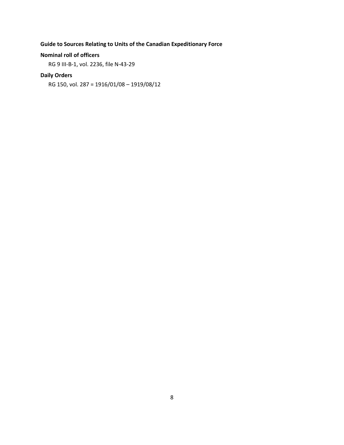#### **Nominal roll of officers**

RG 9 III-B-1, vol. 2236, file N-43-29

## **Daily Orders**

RG 150, vol. 287 = 1916/01/08 – 1919/08/12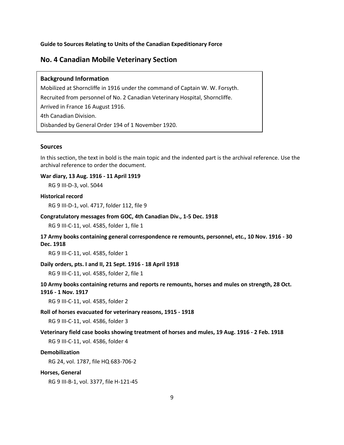## <span id="page-10-0"></span>**No. 4 Canadian Mobile Veterinary Section**

#### **Background Information**

Mobilized at Shorncliffe in 1916 under the command of Captain W. W. Forsyth. Recruited from personnel of No. 2 Canadian Veterinary Hospital, Shorncliffe. Arrived in France 16 August 1916. 4th Canadian Division. Disbanded by General Order 194 of 1 November 1920.

#### **Sources**

In this section, the text in bold is the main topic and the indented part is the archival reference. Use the archival reference to order the document.

#### **War diary, 13 Aug. 1916 - 11 April 1919**

RG 9 III-D-3, vol. 5044

#### **Historical record**

RG 9 III-D-1, vol. 4717, folder 112, file 9

#### **Congratulatory messages from GOC, 4th Canadian Div., 1-5 Dec. 1918**

RG 9 III-C-11, vol. 4585, folder 1, file 1

### **17 Army books containing general correspondence re remounts, personnel, etc., 10 Nov. 1916 - 30 Dec. 1918**

RG 9 III-C-11, vol. 4585, folder 1

#### **Daily orders, pts. I and II, 21 Sept. 1916 - 18 April 1918**

RG 9 III-C-11, vol. 4585, folder 2, file 1

#### **10 Army books containing returns and reports re remounts, horses and mules on strength, 28 Oct. 1916 - 1 Nov. 1917**

RG 9 III-C-11, vol. 4585, folder 2

#### **Roll of horses evacuated for veterinary reasons, 1915 - 1918**

RG 9 III-C-11, vol. 4586, folder 3

#### **Veterinary field case books showing treatment of horses and mules, 19 Aug. 1916 - 2 Feb. 1918**

RG 9 III-C-11, vol. 4586, folder 4

#### **Demobilization**

RG 24, vol. 1787, file HQ 683-706-2

#### **Horses, General**

RG 9 III-B-1, vol. 3377, file H-121-45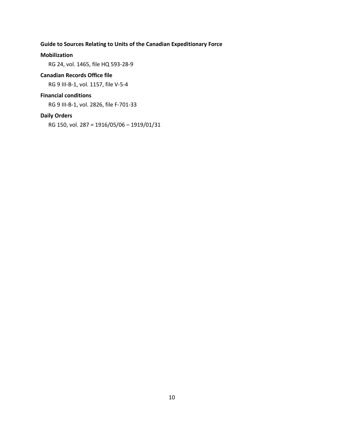#### **Mobilization**

RG 24, vol. 1465, file HQ 593-28-9

#### **Canadian Records Office file**

RG 9 III-B-1, vol. 1157, file V-5-4

#### **Financial conditions**

RG 9 III-B-1, vol. 2826, file F-701-33

#### **Daily Orders**

RG 150, vol. 287 = 1916/05/06 – 1919/01/31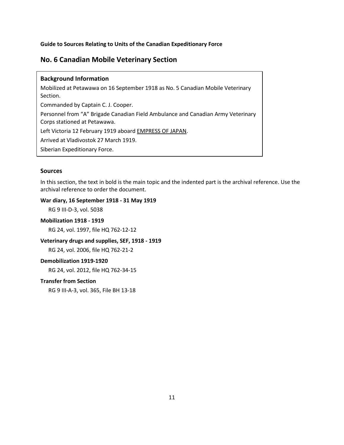## <span id="page-12-0"></span>**No. 6 Canadian Mobile Veterinary Section**

#### **Background Information**

Mobilized at Petawawa on 16 September 1918 as No. 5 Canadian Mobile Veterinary Section.

Commanded by Captain C. J. Cooper.

Personnel from "A" Brigade Canadian Field Ambulance and Canadian Army Veterinary Corps stationed at Petawawa.

Left Victoria 12 February 1919 aboard EMPRESS OF JAPAN.

Arrived at Vladivostok 27 March 1919.

Siberian Expeditionary Force.

#### **Sources**

In this section, the text in bold is the main topic and the indented part is the archival reference. Use the archival reference to order the document.

#### **War diary, 16 September 1918 - 31 May 1919**

RG 9 III-D-3, vol. 5038

### **Mobilization 1918 - 1919**

RG 24, vol. 1997, file HQ 762-12-12

#### **Veterinary drugs and supplies, SEF, 1918 - 1919**

RG 24, vol. 2006, file HQ 762-21-2

#### **Demobilization 1919-1920**

RG 24, vol. 2012, file HQ 762-34-15

#### **Transfer from Section**

RG 9 III-A-3, vol. 365, File BH 13-18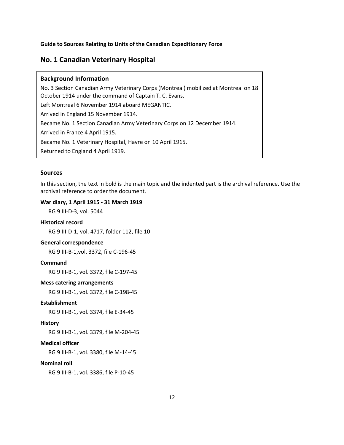## <span id="page-13-0"></span>**No. 1 Canadian Veterinary Hospital**

## **Background Information**

No. 3 Section Canadian Army Veterinary Corps (Montreal) mobilized at Montreal on 18 October 1914 under the command of Captain T. C. Evans. Left Montreal 6 November 1914 aboard MEGANTIC. Arrived in England 15 November 1914. Became No. 1 Section Canadian Army Veterinary Corps on 12 December 1914. Arrived in France 4 April 1915. Became No. 1 Veterinary Hospital, Havre on 10 April 1915.

Returned to England 4 April 1919.

#### **Sources**

In this section, the text in bold is the main topic and the indented part is the archival reference. Use the archival reference to order the document.

#### **War diary, 1 April 1915 - 31 March 1919**

RG 9 III-D-3, vol. 5044

#### **Historical record**

RG 9 III-D-1, vol. 4717, folder 112, file 10

#### **General correspondence**

RG 9 III-B-1,vol. 3372, file C-196-45

#### **Command**

RG 9 III-B-1, vol. 3372, file C-197-45

#### **Mess catering arrangements**

RG 9 III-B-1, vol. 3372, file C-198-45

### **Establishment**

RG 9 III-B-1, vol. 3374, file E-34-45

#### **History**

RG 9 III-B-1, vol. 3379, file M-204-45

#### **Medical officer**

RG 9 III-B-1, vol. 3380, file M-14-45

#### **Nominal roll**

RG 9 III-B-1, vol. 3386, file P-10-45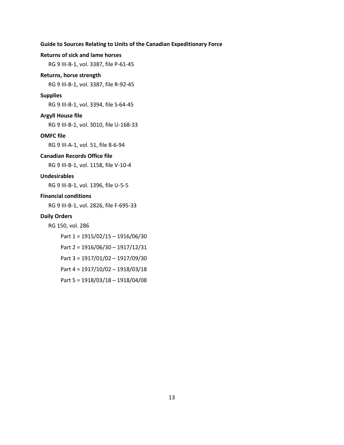#### **Returns of sick and lame horses**

RG 9 III-B-1, vol. 3387, file P-61-45

#### **Returns, horse strength**

RG 9 III-B-1, vol. 3387, file R-92-45

#### **Supplies**

RG 9 III-B-1, vol. 3394, file S-64-45

#### **Argyll House file**

RG 9 III-B-1, vol. 3010, file U-168-33

#### **OMFC file**

RG 9 III-A-1, vol. 51, file 8-6-94

#### **Canadian Records Office file**

RG 9 III-B-1, vol. 1158, file V-10-4

#### **Undesirables**

RG 9 III-B-1, vol. 1396, file U-5-5

#### **Financial conditions**

RG 9 III-B-1, vol. 2826, file F-695-33

#### **Daily Orders**

RG 150, vol. 286

- Part 1 = 1915/02/15 1916/06/30
- Part 2 = 1916/06/30 1917/12/31
- Part 3 = 1917/01/02 1917/09/30
- Part 4 = 1917/10/02 1918/03/18
- Part 5 = 1918/03/18 1918/04/08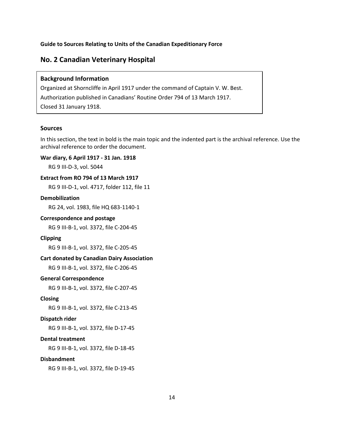## <span id="page-15-0"></span>**No. 2 Canadian Veterinary Hospital**

#### **Background Information**

Organized at Shorncliffe in April 1917 under the command of Captain V. W. Best. Authorization published in Canadians' Routine Order 794 of 13 March 1917. Closed 31 January 1918.

#### **Sources**

In this section, the text in bold is the main topic and the indented part is the archival reference. Use the archival reference to order the document.

#### **War diary, 6 April 1917 - 31 Jan. 1918**

RG 9 III-D-3, vol. 5044

#### **Extract from RO 794 of 13 March 1917**

RG 9 III-D-1, vol. 4717, folder 112, file 11

#### **Demobilization**

RG 24, vol. 1983, file HQ 683-1140-1

#### **Correspondence and postage**

RG 9 III-B-1, vol. 3372, file C-204-45

#### **Clipping**

RG 9 III-B-1, vol. 3372, file C-205-45

#### **Cart donated by Canadian Dairy Association**

RG 9 III-B-1, vol. 3372, file C-206-45

#### **General Correspondence**

RG 9 III-B-1, vol. 3372, file C-207-45

#### **Closing**

RG 9 III-B-1, vol. 3372, file C-213-45

#### **Dispatch rider**

RG 9 III-B-1, vol. 3372, file D-17-45

#### **Dental treatment**

RG 9 III-B-1, vol. 3372, file D-18-45

#### **Disbandment**

RG 9 III-B-1, vol. 3372, file D-19-45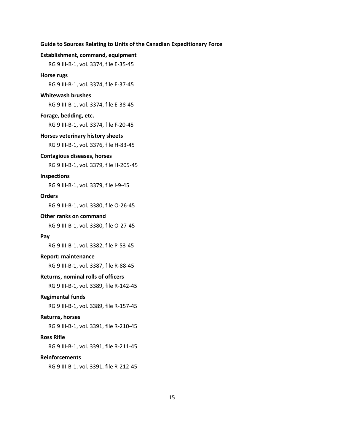#### **Establishment, command, equipment**

RG 9 III-B-1, vol. 3374, file E-35-45

#### **Horse rugs**

RG 9 III-B-1, vol. 3374, file E-37-45

#### **Whitewash brushes**

RG 9 III-B-1, vol. 3374, file E-38-45

#### **Forage, bedding, etc.**

RG 9 III-B-1, vol. 3374, file F-20-45

#### **Horses veterinary history sheets**

RG 9 III-B-1, vol. 3376, file H-83-45

#### **Contagious diseases, horses**

RG 9 III-B-1, vol. 3379, file H-205-45

#### **Inspections**

RG 9 III-B-1, vol. 3379, file I-9-45

#### **Orders**

RG 9 III-B-1, vol. 3380, file O-26-45

#### **Other ranks on command**

RG 9 III-B-1, vol. 3380, file O-27-45

#### **Pay**

RG 9 III-B-1, vol. 3382, file P-53-45

#### **Report: maintenance**

RG 9 III-B-1, vol. 3387, file R-88-45

#### **Returns, nominal rolls of officers**

RG 9 III-B-1, vol. 3389, file R-142-45

#### **Regimental funds**

RG 9 III-B-1, vol. 3389, file R-157-45

#### **Returns, horses**

RG 9 III-B-1, vol. 3391, file R-210-45

#### **Ross Rifle**

RG 9 III-B-1, vol. 3391, file R-211-45

#### **Reinforcements**

RG 9 III-B-1, vol. 3391, file R-212-45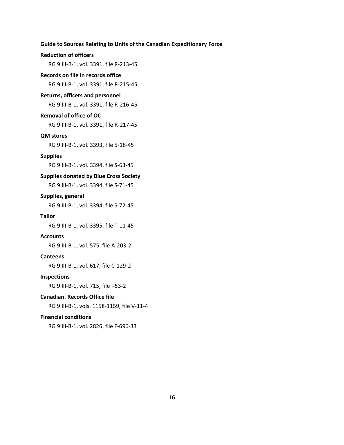#### **Reduction of officers**

RG 9 III-B-1, vol. 3391, file R-213-45

#### **Records on file in records office**

RG 9 III-B-1, vol. 3391, file R-215-45

#### **Returns, officers and personnel**

RG 9 III-B-1, vol. 3391, file R-216-45

#### **Removal of office of OC**

RG 9 III-B-1, vol. 3391, file R-217-45

#### **QM stores**

RG 9 III-B-1, vol. 3393, file 5-18-45

#### **Supplies**

RG 9 III-B-1, vol. 3394, file S-63-45

#### **Supplies donated by Blue Cross Society**

RG 9 III-B-1, vol. 3394, file S-71-45

#### **Supplies, general**

RG 9 III-B-1, vol. 3394, file S-72-45

#### **Tailor**

RG 9 III-B-1, vol. 3395, file T-11-45

#### **Accounts**

RG 9 III-B-1, vol. 575, file A-203-2

#### **Canteens**

RG 9 III-B-1, vol. 617, file C-129-2

#### **Inspections**

RG 9 III-B-1, vol. 715, file I-53-2

#### **Canadian. Records Office file**

RG 9 III-B-1, vols. 1158-1159, file V-11-4

#### **Financial conditions**

RG 9 III-B-1, vol. 2826, file F-696-33